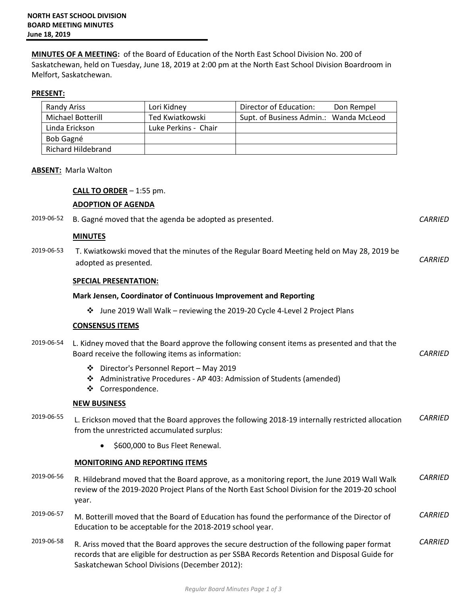**MINUTES OF A MEETING:** of the Board of Education of the North East School Division No. 200 of Saskatchewan, held on Tuesday, June 18, 2019 at 2:00 pm at the North East School Division Boardroom in Melfort, Saskatchewan.

## **PRESENT:**

| Randy Ariss              | Lori Kidney          | Director of Education:<br>Don Rempel   |  |
|--------------------------|----------------------|----------------------------------------|--|
| <b>Michael Botterill</b> | Ted Kwiatkowski      | Supt. of Business Admin.: Wanda McLeod |  |
| Linda Erickson           | Luke Perkins - Chair |                                        |  |
| Bob Gagné                |                      |                                        |  |
| Richard Hildebrand       |                      |                                        |  |

### **ABSENT:** Marla Walton

# **CALL TO ORDER** – 1:55 pm.

|            | <b>ADOPTION OF AGENDA</b>                                                                                                                         |                |  |  |
|------------|---------------------------------------------------------------------------------------------------------------------------------------------------|----------------|--|--|
| 2019-06-52 | B. Gagné moved that the agenda be adopted as presented.                                                                                           | <b>CARRIED</b> |  |  |
|            | <b>MINUTES</b>                                                                                                                                    |                |  |  |
| 2019-06-53 | T. Kwiatkowski moved that the minutes of the Regular Board Meeting held on May 28, 2019 be<br>adopted as presented.                               | CARRIED        |  |  |
|            | <b>SPECIAL PRESENTATION:</b>                                                                                                                      |                |  |  |
|            | Mark Jensen, Coordinator of Continuous Improvement and Reporting                                                                                  |                |  |  |
|            | June 2019 Wall Walk - reviewing the 2019-20 Cycle 4-Level 2 Project Plans<br>❖                                                                    |                |  |  |
|            | <b>CONSENSUS ITEMS</b>                                                                                                                            |                |  |  |
| 2019-06-54 | L. Kidney moved that the Board approve the following consent items as presented and that the<br>Board receive the following items as information: | <b>CARRIED</b> |  |  |
|            | Director's Personnel Report - May 2019<br>❖<br>Administrative Procedures - AP 403: Admission of Students (amended)<br>❖<br>❖<br>Correspondence.   |                |  |  |
|            | <b>NEW BUSINESS</b>                                                                                                                               |                |  |  |
| 2019-06-55 | L. Erickson moved that the Board approves the following 2018-19 internally restricted allocation<br>from the unrestricted accumulated surplus:    |                |  |  |
|            | \$600,000 to Bus Fleet Renewal.<br>$\bullet$                                                                                                      |                |  |  |
|            | <b>MONITORING AND REPORTING ITEMS</b>                                                                                                             |                |  |  |

- 2019-06-56 R. Hildebrand moved that the Board approve, as a monitoring report, the June 2019 Wall Walk review of the 2019-2020 Project Plans of the North East School Division for the 2019-20 school year. *CARRIED*
- 2019-06-57 M. Botterill moved that the Board of Education has found the performance of the Director of Education to be acceptable for the 2018-2019 school year. *CARRIED*
- 2019-06-58 R. Ariss moved that the Board approves the secure destruction of the following paper format records that are eligible for destruction as per SSBA Records Retention and Disposal Guide for Saskatchewan School Divisions (December 2012): *CARRIED*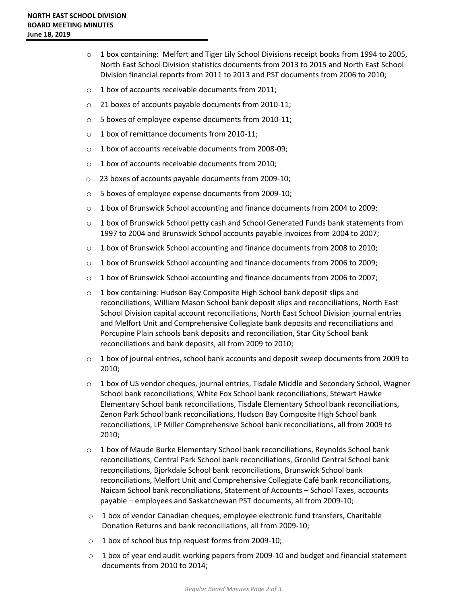- o 1 box containing: Melfort and Tiger Lily School Divisions receipt books from 1994 to 2005, North East School Division statistics documents from 2013 to 2015 and North East School Division financial reports from 2011 to 2013 and PST documents from 2006 to 2010;
- $\circ$  1 box of accounts receivable documents from 2011;
- o 21 boxes of accounts payable documents from 2010-11;
- o 5 boxes of employee expense documents from 2010-11;
- o 1 box of remittance documents from 2010-11;
- o 1 box of accounts receivable documents from 2008-09;
- o 1 box of accounts receivable documents from 2010;
- o 23 boxes of accounts payable documents from 2009-10;
- o 5 boxes of employee expense documents from 2009-10;
- o 1 box of Brunswick School accounting and finance documents from 2004 to 2009;
- o 1 box of Brunswick School petty cash and School Generated Funds bank statements from 1997 to 2004 and Brunswick School accounts payable invoices from 2004 to 2007;
- o 1 box of Brunswick School accounting and finance documents from 2008 to 2010;
- o 1 box of Brunswick School accounting and finance documents from 2006 to 2009;
- $\circ$  1 box of Brunswick School accounting and finance documents from 2006 to 2007;
- o 1 box containing: Hudson Bay Composite High School bank deposit slips and reconciliations, William Mason School bank deposit slips and reconciliations, North East School Division capital account reconciliations, North East School Division journal entries and Melfort Unit and Comprehensive Collegiate bank deposits and reconciliations and Porcupine Plain schools bank deposits and reconciliation, Star City School bank reconciliations and bank deposits, all from 2009 to 2010;
- $\circ$  1 box of journal entries, school bank accounts and deposit sweep documents from 2009 to 2010;
- $\circ$  1 box of US vendor cheques, journal entries, Tisdale Middle and Secondary School, Wagner School bank reconciliations, White Fox School bank reconciliations, Stewart Hawke Elementary School bank reconciliations, Tisdale Elementary School bank reconciliations, Zenon Park School bank reconciliations, Hudson Bay Composite High School bank reconciliations, LP Miller Comprehensive School bank reconciliations, all from 2009 to 2010;
- $\circ$  1 box of Maude Burke Elementary School bank reconciliations, Reynolds School bank reconciliations, Central Park School bank reconciliations, Gronlid Central School bank reconciliations, Bjorkdale School bank reconciliations, Brunswick School bank reconciliations, Melfort Unit and Comprehensive Collegiate Café bank reconciliations, Naicam School bank reconciliations, Statement of Accounts – School Taxes, accounts payable – employees and Saskatchewan PST documents, all from 2009-10;
- $\circ$  1 box of vendor Canadian cheques, employee electronic fund transfers, Charitable Donation Returns and bank reconciliations, all from 2009-10;
- o 1 box of school bus trip request forms from 2009-10;
- $\circ$  1 box of year end audit working papers from 2009-10 and budget and financial statement documents from 2010 to 2014;